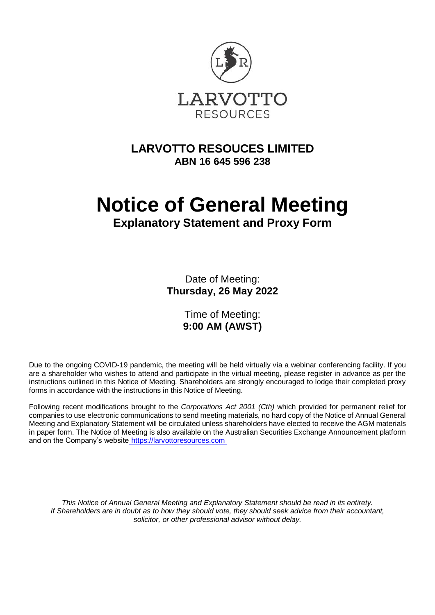

## **LARVOTTO RESOUCES LIMITED ABN 16 645 596 238**

# **Notice of General Meeting**

## **Explanatory Statement and Proxy Form**

Date of Meeting: **Thursday, 26 May 2022**

> Time of Meeting: **9:00 AM (AWST)**

Due to the ongoing COVID-19 pandemic, the meeting will be held virtually via a webinar conferencing facility. If you are a shareholder who wishes to attend and participate in the virtual meeting, please register in advance as per the instructions outlined in this Notice of Meeting. Shareholders are strongly encouraged to lodge their completed proxy forms in accordance with the instructions in this Notice of Meeting.

Following recent modifications brought to the *Corporations Act 2001 (Cth)* which provided for permanent relief for companies to use electronic communications to send meeting materials, no hard copy of the Notice of Annual General Meeting and Explanatory Statement will be circulated unless shareholders have elected to receive the AGM materials in paper form. The Notice of Meeting is also available on the Australian Securities Exchange Announcement platform and on the Company's website [https://larvottoresources.com](https://larvottoresources.com/) 

*This Notice of Annual General Meeting and Explanatory Statement should be read in its entirety. If Shareholders are in doubt as to how they should vote, they should seek advice from their accountant, solicitor, or other professional advisor without delay.*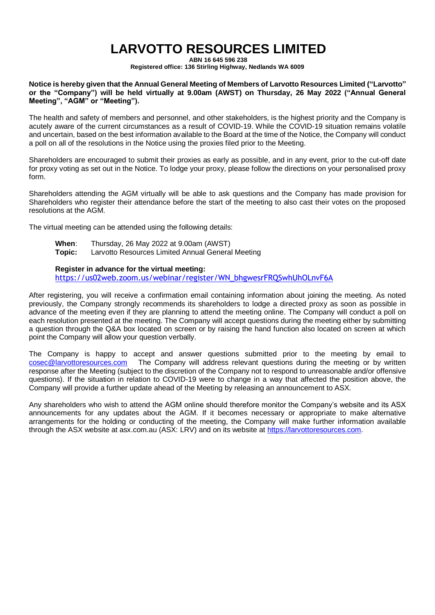## **LARVOTTO RESOURCES LIMITED**

**ABN 16 645 596 238**

**Registered office: 136 Stirling Highway, Nedlands WA 6009**

**Notice is hereby given that the Annual General Meeting of Members of Larvotto Resources Limited ("Larvotto" or the "Company") will be held virtually at 9.00am (AWST) on Thursday, 26 May 2022 ("Annual General Meeting", "AGM" or "Meeting").**

The health and safety of members and personnel, and other stakeholders, is the highest priority and the Company is acutely aware of the current circumstances as a result of COVID-19. While the COVID-19 situation remains volatile and uncertain, based on the best information available to the Board at the time of the Notice, the Company will conduct a poll on all of the resolutions in the Notice using the proxies filed prior to the Meeting.

Shareholders are encouraged to submit their proxies as early as possible, and in any event, prior to the cut-off date for proxy voting as set out in the Notice. To lodge your proxy, please follow the directions on your personalised proxy form.

Shareholders attending the AGM virtually will be able to ask questions and the Company has made provision for Shareholders who register their attendance before the start of the meeting to also cast their votes on the proposed resolutions at the AGM.

The virtual meeting can be attended using the following details:

**When**: Thursday, 26 May 2022 at 9.00am (AWST) **Topic:** Larvotto Resources Limited Annual General Meeting

#### **Register in advance for the virtual meeting:**

[https://us02web.zoom.us/webinar/register/WN\\_bhgwesrFRQSwhUhOLnvF6A](https://us02web.zoom.us/webinar/register/WN_bhgwesrFRQSwhUhOLnvF6A)

After registering, you will receive a confirmation email containing information about joining the meeting. As noted previously, the Company strongly recommends its shareholders to lodge a directed proxy as soon as possible in advance of the meeting even if they are planning to attend the meeting online. The Company will conduct a poll on each resolution presented at the meeting. The Company will accept questions during the meeting either by submitting a question through the Q&A box located on screen or by raising the hand function also located on screen at which point the Company will allow your question verbally.

The Company is happy to accept and answer questions submitted prior to the meeting by email to [cosec@larvottoresources.com](mailto:cosec@larvottoresources.com.au) The Company will address relevant questions during the meeting or by written response after the Meeting (subject to the discretion of the Company not to respond to unreasonable and/or offensive questions). If the situation in relation to COVID-19 were to change in a way that affected the position above, the Company will provide a further update ahead of the Meeting by releasing an announcement to ASX.

Any shareholders who wish to attend the AGM online should therefore monitor the Company's website and its ASX announcements for any updates about the AGM. If it becomes necessary or appropriate to make alternative arrangements for the holding or conducting of the meeting, the Company will make further information available through the ASX website at asx.com.au (ASX: LRV) and on its website at [https://larvottoresources.com.](https://larvottoresources.com/)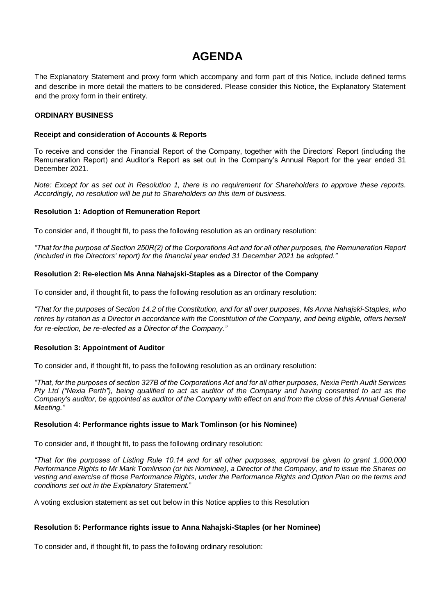## **AGENDA**

The Explanatory Statement and proxy form which accompany and form part of this Notice, include defined terms and describe in more detail the matters to be considered. Please consider this Notice, the Explanatory Statement and the proxy form in their entirety.

#### **ORDINARY BUSINESS**

#### **Receipt and consideration of Accounts & Reports**

To receive and consider the Financial Report of the Company, together with the Directors' Report (including the Remuneration Report) and Auditor's Report as set out in the Company's Annual Report for the year ended 31 December 2021.

*Note: Except for as set out in Resolution 1, there is no requirement for Shareholders to approve these reports. Accordingly, no resolution will be put to Shareholders on this item of business.*

#### **Resolution 1: Adoption of Remuneration Report**

To consider and, if thought fit, to pass the following resolution as an ordinary resolution:

*"That for the purpose of Section 250R(2) of the Corporations Act and for all other purposes, the Remuneration Report (included in the Directors' report) for the financial year ended 31 December 2021 be adopted."*

#### **Resolution 2: Re-election Ms Anna Nahajski-Staples as a Director of the Company**

To consider and, if thought fit, to pass the following resolution as an ordinary resolution:

*"That for the purposes of Section 14.2 of the Constitution, and for all over purposes, Ms Anna Nahajski-Staples, who*  retires by rotation as a Director in accordance with the Constitution of the Company, and being eligible, offers herself *for re-election, be re-elected as a Director of the Company."*

#### **Resolution 3: Appointment of Auditor**

To consider and, if thought fit, to pass the following resolution as an ordinary resolution:

*"That, for the purposes of section 327B of the Corporations Act and for all other purposes, Nexia Perth Audit Services Pty Ltd ("Nexia Perth"), being qualified to act as auditor of the Company and having consented to act as the Company's auditor, be appointed as auditor of the Company with effect on and from the close of this Annual General Meeting."*

#### **Resolution 4: Performance rights issue to Mark Tomlinson (or his Nominee)**

To consider and, if thought fit, to pass the following ordinary resolution:

*"That for the purposes of Listing Rule 10.14 and for all other purposes, approval be given to grant 1,000,000 Performance Rights to Mr Mark Tomlinson (or his Nominee), a Director of the Company, and to issue the Shares on vesting and exercise of those Performance Rights, under the Performance Rights and Option Plan on the terms and conditions set out in the Explanatory Statement.*"

A voting exclusion statement as set out below in this Notice applies to this Resolution

#### **Resolution 5: Performance rights issue to Anna Nahajski-Staples (or her Nominee)**

To consider and, if thought fit, to pass the following ordinary resolution: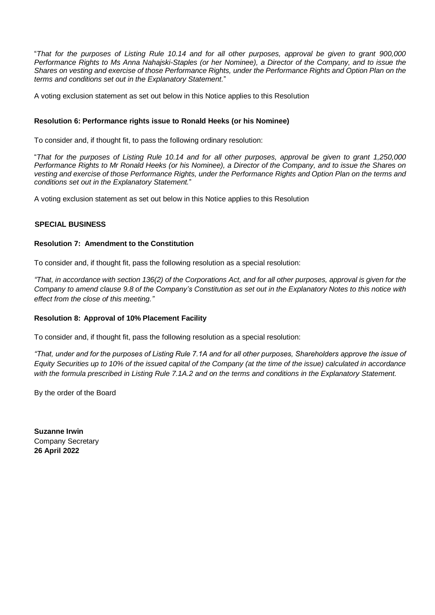"*That for the purposes of Listing Rule 10.14 and for all other purposes, approval be given to grant 900,000 Performance Rights to Ms Anna Nahajski-Staples (or her Nominee), a Director of the Company, and to issue the Shares on vesting and exercise of those Performance Rights, under the Performance Rights and Option Plan on the terms and conditions set out in the Explanatory Statement.*"

A voting exclusion statement as set out below in this Notice applies to this Resolution

#### **Resolution 6: Performance rights issue to Ronald Heeks (or his Nominee)**

To consider and, if thought fit, to pass the following ordinary resolution:

"*That for the purposes of Listing Rule 10.14 and for all other purposes, approval be given to grant 1,250,000 Performance Rights to Mr Ronald Heeks (or his Nominee), a Director of the Company, and to issue the Shares on vesting and exercise of those Performance Rights, under the Performance Rights and Option Plan on the terms and conditions set out in the Explanatory Statement.*"

A voting exclusion statement as set out below in this Notice applies to this Resolution

#### **SPECIAL BUSINESS**

#### **Resolution 7: Amendment to the Constitution**

To consider and, if thought fit, pass the following resolution as a special resolution:

*"That, in accordance with section 136(2) of the Corporations Act, and for all other purposes, approval is given for the Company to amend clause 9.8 of the Company's Constitution as set out in the Explanatory Notes to this notice with effect from the close of this meeting."*

#### **Resolution 8: Approval of 10% Placement Facility**

To consider and, if thought fit, pass the following resolution as a special resolution:

*"That, under and for the purposes of Listing Rule 7.1A and for all other purposes, Shareholders approve the issue of Equity Securities up to 10% of the issued capital of the Company (at the time of the issue) calculated in accordance with the formula prescribed in Listing Rule 7.1A.2 and on the terms and conditions in the Explanatory Statement.*

By the order of the Board

**Suzanne Irwin** Company Secretary **26 April 2022**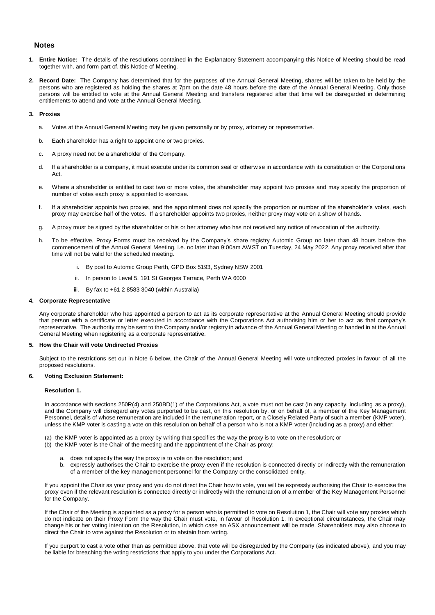#### **Notes**

- **1. Entire Notice:** The details of the resolutions contained in the Explanatory Statement accompanying this Notice of Meeting should be read together with, and form part of, this Notice of Meeting.
- **2. Record Date:** The Company has determined that for the purposes of the Annual General Meeting, shares will be taken to be held by the persons who are registered as holding the shares at 7pm on the date 48 hours before the date of the Annual General Meeting. Only those persons will be entitled to vote at the Annual General Meeting and transfers registered after that time will be disregarded in determining entitlements to attend and vote at the Annual General Meeting.

#### **3. Proxies**

- a. Votes at the Annual General Meeting may be given personally or by proxy, attorney or representative.
- b. Each shareholder has a right to appoint one or two proxies.
- c. A proxy need not be a shareholder of the Company.
- d. If a shareholder is a company, it must execute under its common seal or otherwise in accordance with its constitution or the Corporations Act.
- e. Where a shareholder is entitled to cast two or more votes, the shareholder may appoint two proxies and may specify the proportion of number of votes each proxy is appointed to exercise.
- f. If a shareholder appoints two proxies, and the appointment does not specify the proportion or number of the shareholder's votes, each proxy may exercise half of the votes. If a shareholder appoints two proxies, neither proxy may vote on a show of hands.
- g. A proxy must be signed by the shareholder or his or her attorney who has not received any notice of revocation of the authority.
- h. To be effective, Proxy Forms must be received by the Company's share registry Automic Group no later than 48 hours before the commencement of the Annual General Meeting, i.e. no later than 9:00am AWST on Tuesday, 24 May 2022. Any proxy received after that time will not be valid for the scheduled meeting.
	- i. By post to Automic Group Perth, GPO Box 5193, Sydney NSW 2001
	- ii. In person to Level 5, 191 St Georges Terrace, Perth WA 6000
	- iii. By fax to +61 2 8583 3040 (within Australia)

#### **4. Corporate Representative**

Any corporate shareholder who has appointed a person to act as its corporate representative at the Annual General Meeting should provide that person with a certificate or letter executed in accordance with the Corporations Act authorising him or her to act as that company's representative. The authority may be sent to the Company and/or registry in advance of the Annual General Meeting or handed in at the Annual General Meeting when registering as a corporate representative.

#### **5. How the Chair will vote Undirected Proxies**

Subject to the restrictions set out in Note 6 below, the Chair of the Annual General Meeting will vote undirected proxies in favour of all the proposed resolutions.

#### **6. Voting Exclusion Statement:**

#### **Resolution 1.**

In accordance with sections 250R(4) and 250BD(1) of the Corporations Act, a vote must not be cast (in any capacity, including as a proxy), and the Company will disregard any votes purported to be cast, on this resolution by, or on behalf of, a member of the Key Management Personnel, details of whose remuneration are included in the remuneration report, or a Closely Related Party of such a member (KMP voter), unless the KMP voter is casting a vote on this resolution on behalf of a person who is not a KMP voter (including as a proxy) and either:

(a) the KMP voter is appointed as a proxy by writing that specifies the way the proxy is to vote on the resolution; or

- (b) the KMP voter is the Chair of the meeting and the appointment of the Chair as proxy:
	- a. does not specify the way the proxy is to vote on the resolution; and
	- b. expressly authorises the Chair to exercise the proxy even if the resolution is connected directly or indirectly with the remuneration of a member of the key management personnel for the Company or the consolidated entity.

If you appoint the Chair as your proxy and you do not direct the Chair how to vote, you will be expressly authorising the Chair to exercise the proxy even if the relevant resolution is connected directly or indirectly with the remuneration of a member of the Key Management Personnel for the Company.

If the Chair of the Meeting is appointed as a proxy for a person who is permitted to vote on Resolution 1, the Chair will vote any proxies which do not indicate on their Proxy Form the way the Chair must vote, in favour of Resolution 1. In exceptional circumstances, the Chair may change his or her voting intention on the Resolution, in which case an ASX announcement will be made. Shareholders may also choose to direct the Chair to vote against the Resolution or to abstain from voting.

If you purport to cast a vote other than as permitted above, that vote will be disregarded by the Company (as indicated above), and you may be liable for breaching the voting restrictions that apply to you under the Corporations Act.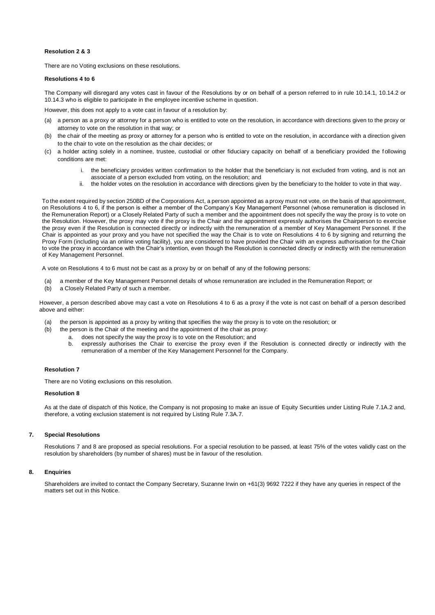#### **Resolution 2 & 3**

There are no Voting exclusions on these resolutions.

#### **Resolutions 4 to 6**

The Company will disregard any votes cast in favour of the Resolutions by or on behalf of a person referred to in rule 10.14.1, 10.14.2 or 10.14.3 who is eligible to participate in the employee incentive scheme in question.

However, this does not apply to a vote cast in favour of a resolution by:

- (a) a person as a proxy or attorney for a person who is entitled to vote on the resolution, in accordance with directions given to the proxy or attorney to vote on the resolution in that way; or
- (b) the chair of the meeting as proxy or attorney for a person who is entitled to vote on the resolution, in accordance with a direction given to the chair to vote on the resolution as the chair decides; or
- (c) a holder acting solely in a nominee, trustee, custodial or other fiduciary capacity on behalf of a beneficiary provided the f ollowing conditions are met:
	- i. the beneficiary provides written confirmation to the holder that the beneficiary is not excluded from voting, and is not an associate of a person excluded from voting, on the resolution; and
	- ii. the holder votes on the resolution in accordance with directions given by the beneficiary to the holder to vote in that way.

To the extent required by section 250BD of the Corporations Act, a person appointed as a proxy must not vote, on the basis of that appointment, on Resolutions 4 to 6, if the person is either a member of the Company's Key Management Personnel (whose remuneration is disclosed in the Remuneration Report) or a Closely Related Party of such a member and the appointment does not specify the way the proxy is to vote on the Resolution. However, the proxy may vote if the proxy is the Chair and the appointment expressly authorises the Chairperson to exercise the proxy even if the Resolution is connected directly or indirectly with the remuneration of a member of Key Management Personnel. If the Chair is appointed as your proxy and you have not specified the way the Chair is to vote on Resolutions 4 to 6 by signing and returning the Proxy Form (including via an online voting facility), you are considered to have provided the Chair with an express authorisation for the Chair to vote the proxy in accordance with the Chair's intention, even though the Resolution is connected directly or indirectly with the remuneration of Key Management Personnel.

A vote on Resolutions 4 to 6 must not be cast as a proxy by or on behalf of any of the following persons:

- (a) a member of the Key Management Personnel details of whose remuneration are included in the Remuneration Report; or
- (b) a Closely Related Party of such a member.

However, a person described above may cast a vote on Resolutions 4 to 6 as a proxy if the vote is not cast on behalf of a person described above and either:

- (a) the person is appointed as a proxy by writing that specifies the way the proxy is to vote on the resolution; or
- (b) the person is the Chair of the meeting and the appointment of the chair as proxy:
	- a. does not specify the way the proxy is to vote on the Resolution; and
	- b. expressly authorises the Chair to exercise the proxy even if the Resolution is connected directly or indirectly with the remuneration of a member of the Key Management Personnel for the Company.

#### **Resolution 7**

There are no Voting exclusions on this resolution.

#### **Resolution 8**

As at the date of dispatch of this Notice, the Company is not proposing to make an issue of Equity Securities under Listing Rule 7.1A.2 and, therefore, a voting exclusion statement is not required by Listing Rule 7.3A.7.

#### **7. Special Resolutions**

Resolutions 7 and 8 are proposed as special resolutions. For a special resolution to be passed, at least 75% of the votes validly cast on the resolution by shareholders (by number of shares) must be in favour of the resolution.

#### **8. Enquiries**

Shareholders are invited to contact the Company Secretary, Suzanne Irwin on +61(3) 9692 7222 if they have any queries in respect of the matters set out in this Notice.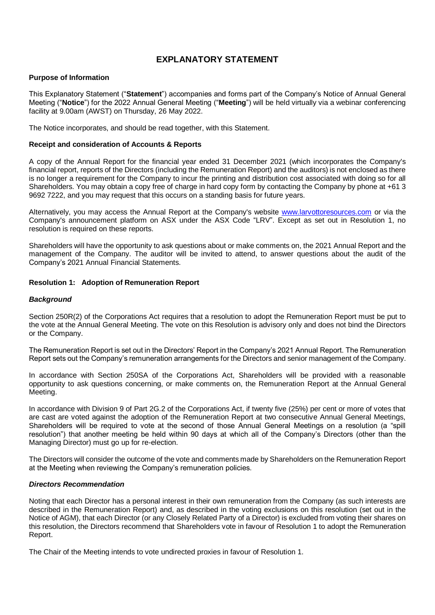#### **EXPLANATORY STATEMENT**

#### **Purpose of Information**

This Explanatory Statement ("**Statement**") accompanies and forms part of the Company's Notice of Annual General Meeting ("**Notice**") for the 2022 Annual General Meeting ("**Meeting**") will be held virtually via a webinar conferencing facility at 9.00am (AWST) on Thursday, 26 May 2022.

The Notice incorporates, and should be read together, with this Statement.

#### **Receipt and consideration of Accounts & Reports**

A copy of the Annual Report for the financial year ended 31 December 2021 (which incorporates the Company's financial report, reports of the Directors (including the Remuneration Report) and the auditors) is not enclosed as there is no longer a requirement for the Company to incur the printing and distribution cost associated with doing so for all Shareholders. You may obtain a copy free of charge in hard copy form by contacting the Company by phone at +61 3 9692 7222, and you may request that this occurs on a standing basis for future years.

Alternatively, you may access the Annual Report at the Company's website [www.larvottoresources.com](http://www.larvottoresources.com/) or via the Company's announcement platform on ASX under the ASX Code "LRV". Except as set out in Resolution 1, no resolution is required on these reports.

Shareholders will have the opportunity to ask questions about or make comments on, the 2021 Annual Report and the management of the Company. The auditor will be invited to attend, to answer questions about the audit of the Company's 2021 Annual Financial Statements.

#### **Resolution 1: Adoption of Remuneration Report**

#### *Background*

Section 250R(2) of the Corporations Act requires that a resolution to adopt the Remuneration Report must be put to the vote at the Annual General Meeting. The vote on this Resolution is advisory only and does not bind the Directors or the Company.

The Remuneration Report is set out in the Directors' Report in the Company's 2021 Annual Report. The Remuneration Report sets out the Company's remuneration arrangements for the Directors and senior management of the Company.

In accordance with Section 250SA of the Corporations Act, Shareholders will be provided with a reasonable opportunity to ask questions concerning, or make comments on, the Remuneration Report at the Annual General Meeting.

In accordance with Division 9 of Part 2G.2 of the Corporations Act, if twenty five (25%) per cent or more of votes that are cast are voted against the adoption of the Remuneration Report at two consecutive Annual General Meetings, Shareholders will be required to vote at the second of those Annual General Meetings on a resolution (a "spill resolution") that another meeting be held within 90 days at which all of the Company's Directors (other than the Managing Director) must go up for re-election.

The Directors will consider the outcome of the vote and comments made by Shareholders on the Remuneration Report at the Meeting when reviewing the Company's remuneration policies.

#### *Directors Recommendation*

Noting that each Director has a personal interest in their own remuneration from the Company (as such interests are described in the Remuneration Report) and, as described in the voting exclusions on this resolution (set out in the Notice of AGM), that each Director (or any Closely Related Party of a Director) is excluded from voting their shares on this resolution, the Directors recommend that Shareholders vote in favour of Resolution 1 to adopt the Remuneration Report.

The Chair of the Meeting intends to vote undirected proxies in favour of Resolution 1.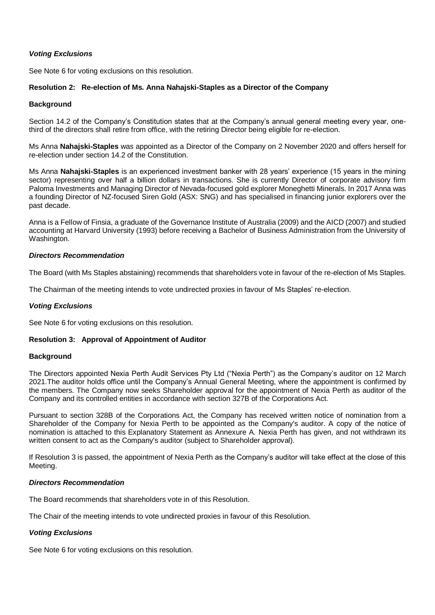#### *Voting Exclusions*

See Note 6 for voting exclusions on this resolution.

#### **Resolution 2: Re-election of Ms. Anna Nahajski-Staples as a Director of the Company**

#### **Background**

Section 14.2 of the Company's Constitution states that at the Company's annual general meeting every year, onethird of the directors shall retire from office, with the retiring Director being eligible for re-election.

Ms Anna **Nahajski-Staples** was appointed as a Director of the Company on 2 November 2020 and offers herself for re-election under section 14.2 of the Constitution.

Ms Anna **Nahajski-Staples** is an experienced investment banker with 28 years' experience (15 years in the mining sector) representing over half a billion dollars in transactions. She is currently Director of corporate advisory firm Paloma Investments and Managing Director of Nevada-focused gold explorer Moneghetti Minerals. In 2017 Anna was a founding Director of NZ-focused Siren Gold (ASX: SNG) and has specialised in financing junior explorers over the past decade.

Anna is a Fellow of Finsia, a graduate of the Governance Institute of Australia (2009) and the AICD (2007) and studied accounting at Harvard University (1993) before receiving a Bachelor of Business Administration from the University of Washington.

#### *Directors Recommendation*

The Board (with Ms Staples abstaining) recommends that shareholders vote in favour of the re-election of Ms Staples.

The Chairman of the meeting intends to vote undirected proxies in favour of Ms Staples' re-election.

#### *Voting Exclusions*

See Note 6 for voting exclusions on this resolution.

#### **Resolution 3: Approval of Appointment of Auditor**

#### **Background**

The Directors appointed Nexia Perth Audit Services Pty Ltd ("Nexia Perth") as the Company's auditor on 12 March 2021.The auditor holds office until the Company's Annual General Meeting, where the appointment is confirmed by the members. The Company now seeks Shareholder approval for the appointment of Nexia Perth as auditor of the Company and its controlled entities in accordance with section 327B of the Corporations Act.

Pursuant to section 328B of the Corporations Act, the Company has received written notice of nomination from a Shareholder of the Company for Nexia Perth to be appointed as the Company's auditor. A copy of the notice of nomination is attached to this Explanatory Statement as Annexure A. Nexia Perth has given, and not withdrawn its written consent to act as the Company's auditor (subject to Shareholder approval).

If Resolution 3 is passed, the appointment of Nexia Perth as the Company's auditor will take effect at the close of this Meeting.

#### *Directors Recommendation*

The Board recommends that shareholders vote in of this Resolution.

The Chair of the meeting intends to vote undirected proxies in favour of this Resolution.

#### *Voting Exclusions*

See Note 6 for voting exclusions on this resolution.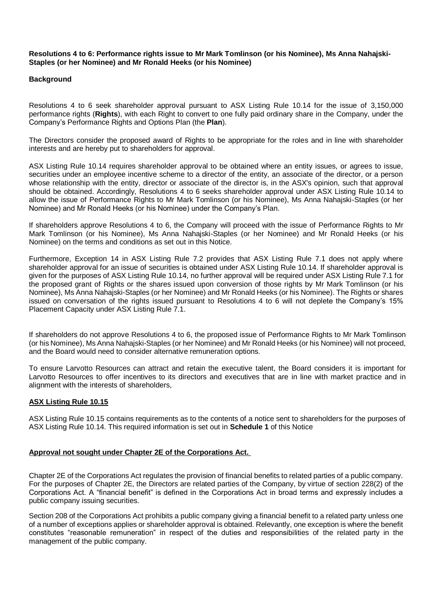#### **Resolutions 4 to 6: Performance rights issue to Mr Mark Tomlinson (or his Nominee), Ms Anna Nahajski-Staples (or her Nominee) and Mr Ronald Heeks (or his Nominee)**

#### **Background**

Resolutions 4 to 6 seek shareholder approval pursuant to ASX Listing Rule 10.14 for the issue of 3,150,000 performance rights (**Rights**), with each Right to convert to one fully paid ordinary share in the Company, under the Company's Performance Rights and Options Plan (the **Plan**).

The Directors consider the proposed award of Rights to be appropriate for the roles and in line with shareholder interests and are hereby put to shareholders for approval.

ASX Listing Rule 10.14 requires shareholder approval to be obtained where an entity issues, or agrees to issue, securities under an employee incentive scheme to a director of the entity, an associate of the director, or a person whose relationship with the entity, director or associate of the director is, in the ASX's opinion, such that approval should be obtained. Accordingly, Resolutions 4 to 6 seeks shareholder approval under ASX Listing Rule 10.14 to allow the issue of Performance Rights to Mr Mark Tomlinson (or his Nominee), Ms Anna Nahajski-Staples (or her Nominee) and Mr Ronald Heeks (or his Nominee) under the Company's Plan.

If shareholders approve Resolutions 4 to 6, the Company will proceed with the issue of Performance Rights to Mr Mark Tomlinson (or his Nominee), Ms Anna Nahajski-Staples (or her Nominee) and Mr Ronald Heeks (or his Nominee) on the terms and conditions as set out in this Notice.

Furthermore, Exception 14 in ASX Listing Rule 7.2 provides that ASX Listing Rule 7.1 does not apply where shareholder approval for an issue of securities is obtained under ASX Listing Rule 10.14. If shareholder approval is given for the purposes of ASX Listing Rule 10.14, no further approval will be required under ASX Listing Rule 7.1 for the proposed grant of Rights or the shares issued upon conversion of those rights by Mr Mark Tomlinson (or his Nominee), Ms Anna Nahajski-Staples (or her Nominee) and Mr Ronald Heeks (or his Nominee). The Rights or shares issued on conversation of the rights issued pursuant to Resolutions 4 to 6 will not deplete the Company's 15% Placement Capacity under ASX Listing Rule 7.1.

If shareholders do not approve Resolutions 4 to 6, the proposed issue of Performance Rights to Mr Mark Tomlinson (or his Nominee), Ms Anna Nahajski-Staples (or her Nominee) and Mr Ronald Heeks (or his Nominee) will not proceed, and the Board would need to consider alternative remuneration options.

To ensure Larvotto Resources can attract and retain the executive talent, the Board considers it is important for Larvotto Resources to offer incentives to its directors and executives that are in line with market practice and in alignment with the interests of shareholders,

#### **ASX Listing Rule 10.15**

ASX Listing Rule 10.15 contains requirements as to the contents of a notice sent to shareholders for the purposes of ASX Listing Rule 10.14. This required information is set out in **Schedule 1** of this Notice

#### **Approval not sought under Chapter 2E of the Corporations Act.**

Chapter 2E of the Corporations Act regulates the provision of financial benefits to related parties of a public company. For the purposes of Chapter 2E, the Directors are related parties of the Company, by virtue of section 228(2) of the Corporations Act. A "financial benefit" is defined in the Corporations Act in broad terms and expressly includes a public company issuing securities.

Section 208 of the Corporations Act prohibits a public company giving a financial benefit to a related party unless one of a number of exceptions applies or shareholder approval is obtained. Relevantly, one exception is where the benefit constitutes "reasonable remuneration" in respect of the duties and responsibilities of the related party in the management of the public company.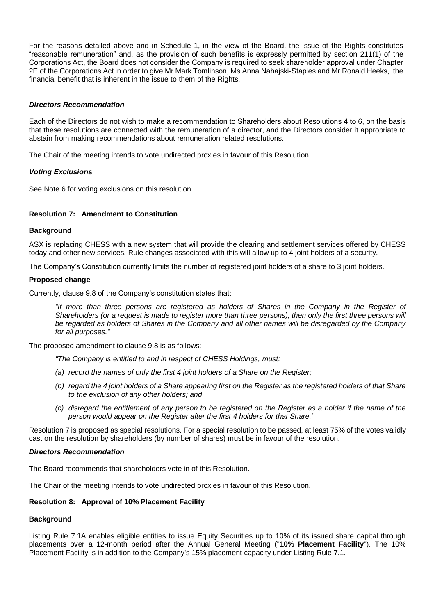For the reasons detailed above and in Schedule 1, in the view of the Board, the issue of the Rights constitutes "reasonable remuneration" and, as the provision of such benefits is expressly permitted by section 211(1) of the Corporations Act, the Board does not consider the Company is required to seek shareholder approval under Chapter 2E of the Corporations Act in order to give Mr Mark Tomlinson, Ms Anna Nahajski-Staples and Mr Ronald Heeks, the financial benefit that is inherent in the issue to them of the Rights.

#### *Directors Recommendation*

Each of the Directors do not wish to make a recommendation to Shareholders about Resolutions 4 to 6, on the basis that these resolutions are connected with the remuneration of a director, and the Directors consider it appropriate to abstain from making recommendations about remuneration related resolutions.

The Chair of the meeting intends to vote undirected proxies in favour of this Resolution.

#### *Voting Exclusions*

See Note 6 for voting exclusions on this resolution

#### **Resolution 7: Amendment to Constitution**

#### **Background**

ASX is replacing CHESS with a new system that will provide the clearing and settlement services offered by CHESS today and other new services. Rule changes associated with this will allow up to 4 joint holders of a security.

The Company's Constitution currently limits the number of registered joint holders of a share to 3 joint holders.

#### **Proposed change**

Currently, clause 9.8 of the Company's constitution states that:

*"If more than three persons are registered as holders of Shares in the Company in the Register of Shareholders (or a request is made to register more than three persons), then only the first three persons will be regarded as holders of Shares in the Company and all other names will be disregarded by the Company for all purposes."*

The proposed amendment to clause 9.8 is as follows:

*"The Company is entitled to and in respect of CHESS Holdings, must:*

- *(a) record the names of only the first 4 joint holders of a Share on the Register;*
- *(b) regard the 4 joint holders of a Share appearing first on the Register as the registered holders of that Share to the exclusion of any other holders; and*
- *(c) disregard the entitlement of any person to be registered on the Register as a holder if the name of the person would appear on the Register after the first 4 holders for that Share."*

Resolution 7 is proposed as special resolutions. For a special resolution to be passed, at least 75% of the votes validly cast on the resolution by shareholders (by number of shares) must be in favour of the resolution.

#### *Directors Recommendation*

The Board recommends that shareholders vote in of this Resolution.

The Chair of the meeting intends to vote undirected proxies in favour of this Resolution.

#### **Resolution 8: Approval of 10% Placement Facility**

#### **Background**

Listing Rule 7.1A enables eligible entities to issue Equity Securities up to 10% of its issued share capital through placements over a 12-month period after the Annual General Meeting ("**10% Placement Facility**"). The 10% Placement Facility is in addition to the Company's 15% placement capacity under Listing Rule 7.1.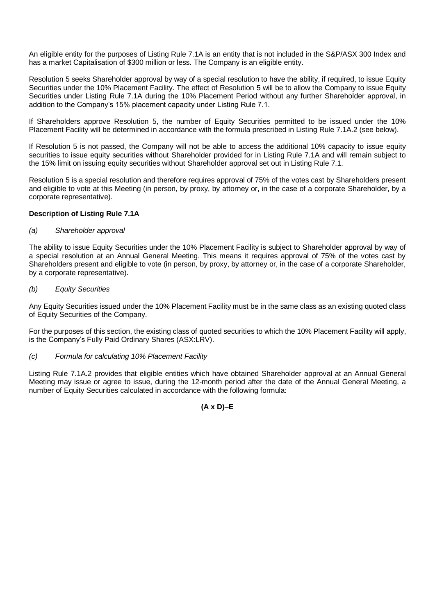An eligible entity for the purposes of Listing Rule 7.1A is an entity that is not included in the S&P/ASX 300 Index and has a market Capitalisation of \$300 million or less. The Company is an eligible entity.

Resolution 5 seeks Shareholder approval by way of a special resolution to have the ability, if required, to issue Equity Securities under the 10% Placement Facility. The effect of Resolution 5 will be to allow the Company to issue Equity Securities under Listing Rule 7.1A during the 10% Placement Period without any further Shareholder approval, in addition to the Company's 15% placement capacity under Listing Rule 7.1.

If Shareholders approve Resolution 5, the number of Equity Securities permitted to be issued under the 10% Placement Facility will be determined in accordance with the formula prescribed in Listing Rule 7.1A.2 (see below).

If Resolution 5 is not passed, the Company will not be able to access the additional 10% capacity to issue equity securities to issue equity securities without Shareholder provided for in Listing Rule 7.1A and will remain subject to the 15% limit on issuing equity securities without Shareholder approval set out in Listing Rule 7.1.

Resolution 5 is a special resolution and therefore requires approval of 75% of the votes cast by Shareholders present and eligible to vote at this Meeting (in person, by proxy, by attorney or, in the case of a corporate Shareholder, by a corporate representative).

#### **Description of Listing Rule 7.1A**

#### *(a) Shareholder approval*

The ability to issue Equity Securities under the 10% Placement Facility is subject to Shareholder approval by way of a special resolution at an Annual General Meeting. This means it requires approval of 75% of the votes cast by Shareholders present and eligible to vote (in person, by proxy, by attorney or, in the case of a corporate Shareholder, by a corporate representative).

#### *(b) Equity Securities*

Any Equity Securities issued under the 10% Placement Facility must be in the same class as an existing quoted class of Equity Securities of the Company.

For the purposes of this section, the existing class of quoted securities to which the 10% Placement Facility will apply, is the Company's Fully Paid Ordinary Shares (ASX:LRV).

#### *(c) Formula for calculating 10% Placement Facility*

Listing Rule 7.1A.2 provides that eligible entities which have obtained Shareholder approval at an Annual General Meeting may issue or agree to issue, during the 12-month period after the date of the Annual General Meeting, a number of Equity Securities calculated in accordance with the following formula:

**(A x D)–E**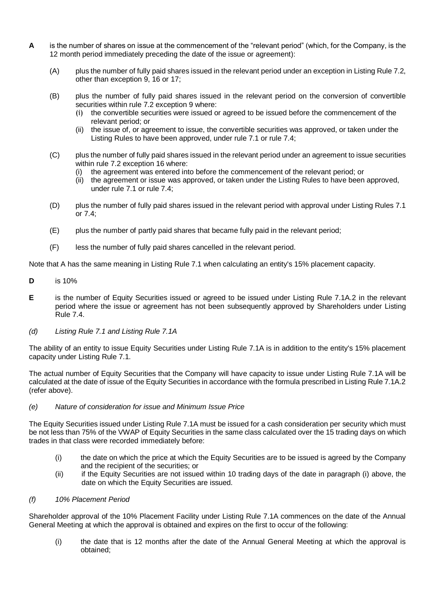- **A** is the number of shares on issue at the commencement of the "relevant period" (which, for the Company, is the 12 month period immediately preceding the date of the issue or agreement):
	- (A) plus the number of fully paid shares issued in the relevant period under an exception in Listing Rule 7.2, other than exception 9, 16 or 17;
	- (B) plus the number of fully paid shares issued in the relevant period on the conversion of convertible securities within rule 7.2 exception 9 where:
		- (i) the convertible securities were issued or agreed to be issued before the commencement of the relevant period; or
		- (ii) the issue of, or agreement to issue, the convertible securities was approved, or taken under the Listing Rules to have been approved, under rule 7.1 or rule 7.4;
	- (C) plus the number of fully paid shares issued in the relevant period under an agreement to issue securities within rule 7.2 exception 16 where:
		- (i) the agreement was entered into before the commencement of the relevant period; or
		- (ii) the agreement or issue was approved, or taken under the Listing Rules to have been approved, under rule 7.1 or rule 7.4;
	- (D) plus the number of fully paid shares issued in the relevant period with approval under Listing Rules 7.1 or 7.4;
	- (E) plus the number of partly paid shares that became fully paid in the relevant period;
	- (F) less the number of fully paid shares cancelled in the relevant period.

Note that A has the same meaning in Listing Rule 7.1 when calculating an entity's 15% placement capacity.

- **D** is 10%
- **E** is the number of Equity Securities issued or agreed to be issued under Listing Rule 7.1A.2 in the relevant period where the issue or agreement has not been subsequently approved by Shareholders under Listing Rule 7.4.
- *(d) Listing Rule 7.1 and Listing Rule 7.1A*

The ability of an entity to issue Equity Securities under Listing Rule 7.1A is in addition to the entity's 15% placement capacity under Listing Rule 7.1.

The actual number of Equity Securities that the Company will have capacity to issue under Listing Rule 7.1A will be calculated at the date of issue of the Equity Securities in accordance with the formula prescribed in Listing Rule 7.1A.2 (refer above).

#### *(e) Nature of consideration for issue and Minimum Issue Price*

The Equity Securities issued under Listing Rule 7.1A must be issued for a cash consideration per security which must be not less than 75% of the VWAP of Equity Securities in the same class calculated over the 15 trading days on which trades in that class were recorded immediately before:

- (i) the date on which the price at which the Equity Securities are to be issued is agreed by the Company and the recipient of the securities; or
- (ii) if the Equity Securities are not issued within 10 trading days of the date in paragraph (i) above, the date on which the Equity Securities are issued.

#### *(f) 10% Placement Period*

Shareholder approval of the 10% Placement Facility under Listing Rule 7.1A commences on the date of the Annual General Meeting at which the approval is obtained and expires on the first to occur of the following:

(i) the date that is 12 months after the date of the Annual General Meeting at which the approval is obtained;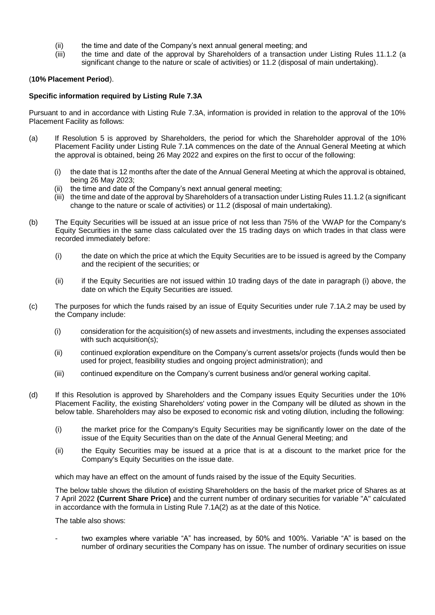- (ii) the time and date of the Company's next annual general meeting; and
- $(iii)$  the time and date of the approval by Shareholders of a transaction under Listing Rules 11.1.2 (a significant change to the nature or scale of activities) or 11.2 (disposal of main undertaking).

#### (**10% Placement Period**).

#### **Specific information required by Listing Rule 7.3A**

Pursuant to and in accordance with Listing Rule 7.3A, information is provided in relation to the approval of the 10% Placement Facility as follows:

- (a) If Resolution 5 is approved by Shareholders, the period for which the Shareholder approval of the 10% Placement Facility under Listing Rule 7.1A commences on the date of the Annual General Meeting at which the approval is obtained, being 26 May 2022 and expires on the first to occur of the following:
	- (i) the date that is 12 months after the date of the Annual General Meeting at which the approval is obtained, being 26 May 2023;
	- (ii) the time and date of the Company's next annual general meeting;
	- (iii) the time and date of the approval by Shareholders of a transaction under Listing Rules 11.1.2 (a significant change to the nature or scale of activities) or 11.2 (disposal of main undertaking).
- (b) The Equity Securities will be issued at an issue price of not less than 75% of the VWAP for the Company's Equity Securities in the same class calculated over the 15 trading days on which trades in that class were recorded immediately before:
	- (i) the date on which the price at which the Equity Securities are to be issued is agreed by the Company and the recipient of the securities; or
	- (ii) if the Equity Securities are not issued within 10 trading days of the date in paragraph (i) above, the date on which the Equity Securities are issued.
- (c) The purposes for which the funds raised by an issue of Equity Securities under rule 7.1A.2 may be used by the Company include:
	- (i) consideration for the acquisition(s) of new assets and investments, including the expenses associated with such acquisition(s);
	- (ii) continued exploration expenditure on the Company's current assets/or projects (funds would then be used for project, feasibility studies and ongoing project administration); and
	- (iii) continued expenditure on the Company's current business and/or general working capital.
- (d) If this Resolution is approved by Shareholders and the Company issues Equity Securities under the 10% Placement Facility, the existing Shareholders' voting power in the Company will be diluted as shown in the below table. Shareholders may also be exposed to economic risk and voting dilution, including the following:
	- (i) the market price for the Company's Equity Securities may be significantly lower on the date of the issue of the Equity Securities than on the date of the Annual General Meeting; and
	- (ii) the Equity Securities may be issued at a price that is at a discount to the market price for the Company's Equity Securities on the issue date.

which may have an effect on the amount of funds raised by the issue of the Equity Securities.

The below table shows the dilution of existing Shareholders on the basis of the market price of Shares as at 7 April 2022 **(Current Share Price)** and the current number of ordinary securities for variable "A" calculated in accordance with the formula in Listing Rule 7.1A(2) as at the date of this Notice.

The table also shows:

two examples where variable "A" has increased, by 50% and 100%. Variable "A" is based on the number of ordinary securities the Company has on issue. The number of ordinary securities on issue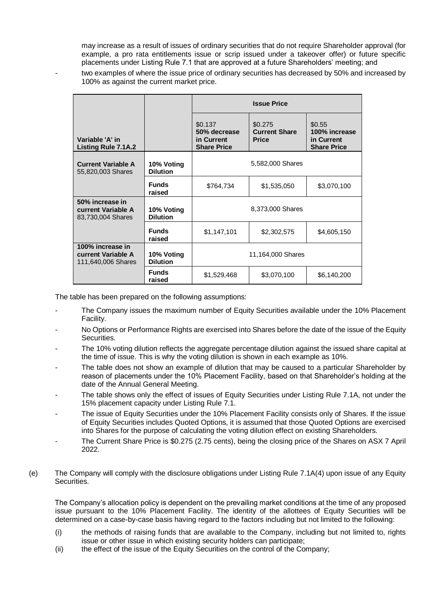may increase as a result of issues of ordinary securities that do not require Shareholder approval (for example, a pro rata entitlements issue or scrip issued under a takeover offer) or future specific placements under Listing Rule 7.1 that are approved at a future Shareholders' meeting; and

two examples of where the issue price of ordinary securities has decreased by 50% and increased by 100% as against the current market price.

|                                                              |                               |                                                             | <b>Issue Price</b>                              |                                                             |
|--------------------------------------------------------------|-------------------------------|-------------------------------------------------------------|-------------------------------------------------|-------------------------------------------------------------|
| Variable 'A' in<br><b>Listing Rule 7.1A.2</b>                |                               | \$0.137<br>50% decrease<br>in Current<br><b>Share Price</b> | \$0.275<br><b>Current Share</b><br><b>Price</b> | \$0.55<br>100% increase<br>in Current<br><b>Share Price</b> |
| <b>Current Variable A</b><br>55,820,003 Shares               | 10% Voting<br><b>Dilution</b> |                                                             | 5,582,000 Shares                                |                                                             |
|                                                              | <b>Funds</b><br>raised        | \$764,734                                                   | \$1,535,050                                     | \$3,070,100                                                 |
| 50% increase in<br>current Variable A<br>83,730,004 Shares   | 10% Voting<br><b>Dilution</b> |                                                             | 8,373,000 Shares                                |                                                             |
|                                                              | <b>Funds</b><br>raised        | \$1,147,101                                                 | \$2,302,575                                     | \$4,605,150                                                 |
| 100% increase in<br>current Variable A<br>111,640,006 Shares | 10% Voting<br><b>Dilution</b> |                                                             | 11,164,000 Shares                               |                                                             |
|                                                              | <b>Funds</b><br>raised        | \$1,529,468                                                 | \$3,070,100                                     | \$6,140,200                                                 |

The table has been prepared on the following assumptions:

- The Company issues the maximum number of Equity Securities available under the 10% Placement Facility.
- No Options or Performance Rights are exercised into Shares before the date of the issue of the Equity Securities.
- The 10% voting dilution reflects the aggregate percentage dilution against the issued share capital at the time of issue. This is why the voting dilution is shown in each example as 10%.
- The table does not show an example of dilution that may be caused to a particular Shareholder by reason of placements under the 10% Placement Facility, based on that Shareholder's holding at the date of the Annual General Meeting.
- The table shows only the effect of issues of Equity Securities under Listing Rule 7.1A, not under the 15% placement capacity under Listing Rule 7.1.
- The issue of Equity Securities under the 10% Placement Facility consists only of Shares. If the issue of Equity Securities includes Quoted Options, it is assumed that those Quoted Options are exercised into Shares for the purpose of calculating the voting dilution effect on existing Shareholders.
- The Current Share Price is \$0.275 (2.75 cents), being the closing price of the Shares on ASX 7 April 2022.
- (e) The Company will comply with the disclosure obligations under Listing Rule 7.1A(4) upon issue of any Equity Securities.

The Company's allocation policy is dependent on the prevailing market conditions at the time of any proposed issue pursuant to the 10% Placement Facility. The identity of the allottees of Equity Securities will be determined on a case-by-case basis having regard to the factors including but not limited to the following:

- (i) the methods of raising funds that are available to the Company, including but not limited to, rights issue or other issue in which existing security holders can participate;
- (ii) the effect of the issue of the Equity Securities on the control of the Company;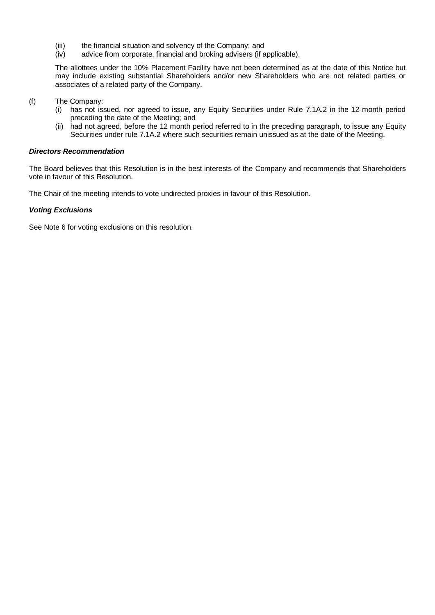- (iii) the financial situation and solvency of the Company; and<br>(iv) advice from corporate, financial and broking advisers (if a
- advice from corporate, financial and broking advisers (if applicable).

The allottees under the 10% Placement Facility have not been determined as at the date of this Notice but may include existing substantial Shareholders and/or new Shareholders who are not related parties or associates of a related party of the Company.

- (f) The Company:
	- (i) has not issued, nor agreed to issue, any Equity Securities under Rule 7.1A.2 in the 12 month period preceding the date of the Meeting; and
	- (ii) had not agreed, before the 12 month period referred to in the preceding paragraph, to issue any Equity Securities under rule 7.1A.2 where such securities remain unissued as at the date of the Meeting.

#### *Directors Recommendation*

The Board believes that this Resolution is in the best interests of the Company and recommends that Shareholders vote in favour of this Resolution.

The Chair of the meeting intends to vote undirected proxies in favour of this Resolution.

#### *Voting Exclusions*

See Note 6 for voting exclusions on this resolution.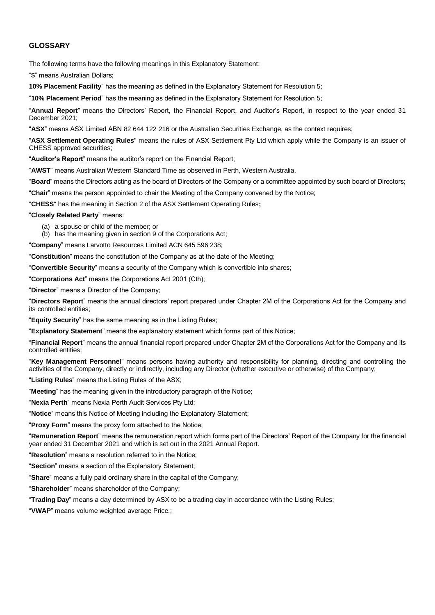#### **GLOSSARY**

The following terms have the following meanings in this Explanatory Statement:

"**\$**" means Australian Dollars;

**10% Placement Facility**" has the meaning as defined in the Explanatory Statement for Resolution 5;

"**10% Placement Period**" has the meaning as defined in the Explanatory Statement for Resolution 5;

"**Annual Report**" means the Directors' Report, the Financial Report, and Auditor's Report, in respect to the year ended 31 December 2021;

"**ASX**" means ASX Limited ABN 82 644 122 216 or the Australian Securities Exchange, as the context requires;

"**ASX Settlement Operating Rules**" means the rules of ASX Settlement Pty Ltd which apply while the Company is an issuer of CHESS approved securities;

"**Auditor's Report**" means the auditor's report on the Financial Report;

"**AWST**" means Australian Western Standard Time as observed in Perth, Western Australia.

"**Board**" means the Directors acting as the board of Directors of the Company or a committee appointed by such board of Directors;

"**Chair**" means the person appointed to chair the Meeting of the Company convened by the Notice;

"**CHESS**" has the meaning in Section 2 of the ASX Settlement Operating Rules**;**

"**Closely Related Party**" means:

- (a) a spouse or child of the member; or
- (b) has the meaning given in section 9 of the Corporations Act;

"**Company**" means Larvotto Resources Limited ACN 645 596 238;

"**Constitution**" means the constitution of the Company as at the date of the Meeting;

"**Convertible Security**" means a security of the Company which is convertible into shares;

"**Corporations Act**" means the Corporations Act 2001 (Cth);

"**Director**" means a Director of the Company;

"**Directors Report**" means the annual directors' report prepared under Chapter 2M of the Corporations Act for the Company and its controlled entities;

"**Equity Security**" has the same meaning as in the Listing Rules;

"**Explanatory Statement**" means the explanatory statement which forms part of this Notice;

"**Financial Report**" means the annual financial report prepared under Chapter 2M of the Corporations Act for the Company and its controlled entities;

"**Key Management Personnel**" means persons having authority and responsibility for planning, directing and controlling the activities of the Company, directly or indirectly, including any Director (whether executive or otherwise) of the Company;

"**Listing Rules**" means the Listing Rules of the ASX;

"**Meeting**" has the meaning given in the introductory paragraph of the Notice;

"**Nexia Perth**" means Nexia Perth Audit Services Pty Ltd;

"**Notice**" means this Notice of Meeting including the Explanatory Statement;

"**Proxy Form**" means the proxy form attached to the Notice;

"**Remuneration Report**" means the remuneration report which forms part of the Directors' Report of the Company for the financial year ended 31 December 2021 and which is set out in the 2021 Annual Report.

"**Resolution**" means a resolution referred to in the Notice;

"**Section**" means a section of the Explanatory Statement;

"**Share**" means a fully paid ordinary share in the capital of the Company;

"**Shareholder**" means shareholder of the Company;

"**Trading Day**" means a day determined by ASX to be a trading day in accordance with the Listing Rules;

"**VWAP**" means volume weighted average Price.;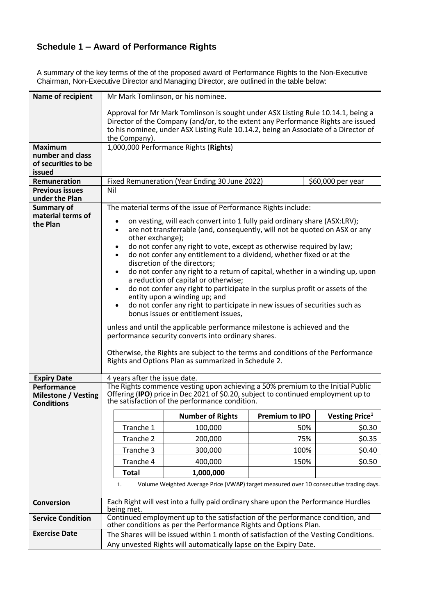## **Schedule 1 – Award of Performance Rights**

| Name of recipient<br><b>Maximum</b><br>number and class<br>of securities to be<br>issued | the Company).                                                                                                                                                                                                                                                                                                                                                                                                                                                                                                                                                                                                                                                                                                                                                                                                                                                                                                                                                                                                                                                                                                                      | Mr Mark Tomlinson, or his nominee.<br>Approval for Mr Mark Tomlinson is sought under ASX Listing Rule 10.14.1, being a<br>Director of the Company (and/or, to the extent any Performance Rights are issued<br>to his nominee, under ASX Listing Rule 10.14.2, being an Associate of a Director of<br>1,000,000 Performance Rights (Rights) |                       |                                   |
|------------------------------------------------------------------------------------------|------------------------------------------------------------------------------------------------------------------------------------------------------------------------------------------------------------------------------------------------------------------------------------------------------------------------------------------------------------------------------------------------------------------------------------------------------------------------------------------------------------------------------------------------------------------------------------------------------------------------------------------------------------------------------------------------------------------------------------------------------------------------------------------------------------------------------------------------------------------------------------------------------------------------------------------------------------------------------------------------------------------------------------------------------------------------------------------------------------------------------------|--------------------------------------------------------------------------------------------------------------------------------------------------------------------------------------------------------------------------------------------------------------------------------------------------------------------------------------------|-----------------------|-----------------------------------|
| Remuneration                                                                             |                                                                                                                                                                                                                                                                                                                                                                                                                                                                                                                                                                                                                                                                                                                                                                                                                                                                                                                                                                                                                                                                                                                                    | Fixed Remuneration (Year Ending 30 June 2022)                                                                                                                                                                                                                                                                                              |                       | \$60,000 per year                 |
| <b>Previous issues</b>                                                                   | Nil                                                                                                                                                                                                                                                                                                                                                                                                                                                                                                                                                                                                                                                                                                                                                                                                                                                                                                                                                                                                                                                                                                                                |                                                                                                                                                                                                                                                                                                                                            |                       |                                   |
| under the Plan                                                                           |                                                                                                                                                                                                                                                                                                                                                                                                                                                                                                                                                                                                                                                                                                                                                                                                                                                                                                                                                                                                                                                                                                                                    |                                                                                                                                                                                                                                                                                                                                            |                       |                                   |
| <b>Summary of</b><br>material terms of<br>the Plan                                       | The material terms of the issue of Performance Rights include:<br>on vesting, will each convert into 1 fully paid ordinary share (ASX:LRV);<br>$\bullet$<br>are not transferrable (and, consequently, will not be quoted on ASX or any<br>$\bullet$<br>other exchange);<br>do not confer any right to vote, except as otherwise required by law;<br>do not confer any entitlement to a dividend, whether fixed or at the<br>discretion of the directors;<br>do not confer any right to a return of capital, whether in a winding up, upon<br>a reduction of capital or otherwise;<br>do not confer any right to participate in the surplus profit or assets of the<br>$\bullet$<br>entity upon a winding up; and<br>do not confer any right to participate in new issues of securities such as<br>$\bullet$<br>bonus issues or entitlement issues,<br>unless and until the applicable performance milestone is achieved and the<br>performance security converts into ordinary shares.<br>Otherwise, the Rights are subject to the terms and conditions of the Performance<br>Rights and Options Plan as summarized in Schedule 2. |                                                                                                                                                                                                                                                                                                                                            |                       |                                   |
| <b>Expiry Date</b>                                                                       | 4 years after the issue date.                                                                                                                                                                                                                                                                                                                                                                                                                                                                                                                                                                                                                                                                                                                                                                                                                                                                                                                                                                                                                                                                                                      |                                                                                                                                                                                                                                                                                                                                            |                       |                                   |
| Performance<br><b>Milestone / Vesting</b><br><b>Conditions</b>                           |                                                                                                                                                                                                                                                                                                                                                                                                                                                                                                                                                                                                                                                                                                                                                                                                                                                                                                                                                                                                                                                                                                                                    | The Rights commence vesting upon achieving a 50% premium to the Initial Public<br>Offering (IPO) price in Dec 2021 of \$0.20, subject to continued employment up to<br>the satisfaction of the performance condition.                                                                                                                      |                       |                                   |
|                                                                                          |                                                                                                                                                                                                                                                                                                                                                                                                                                                                                                                                                                                                                                                                                                                                                                                                                                                                                                                                                                                                                                                                                                                                    | <b>Number of Rights</b>                                                                                                                                                                                                                                                                                                                    | <b>Premium to IPO</b> | <b>Vesting Price</b> <sup>1</sup> |
|                                                                                          | Tranche 1                                                                                                                                                                                                                                                                                                                                                                                                                                                                                                                                                                                                                                                                                                                                                                                                                                                                                                                                                                                                                                                                                                                          | 100,000                                                                                                                                                                                                                                                                                                                                    | 50%                   | \$0.30                            |
|                                                                                          | Tranche 2                                                                                                                                                                                                                                                                                                                                                                                                                                                                                                                                                                                                                                                                                                                                                                                                                                                                                                                                                                                                                                                                                                                          | 200,000                                                                                                                                                                                                                                                                                                                                    | 75%                   | \$0.35                            |
|                                                                                          | Tranche 3                                                                                                                                                                                                                                                                                                                                                                                                                                                                                                                                                                                                                                                                                                                                                                                                                                                                                                                                                                                                                                                                                                                          | 300,000                                                                                                                                                                                                                                                                                                                                    | 100%                  | \$0.40                            |
|                                                                                          | Tranche 4                                                                                                                                                                                                                                                                                                                                                                                                                                                                                                                                                                                                                                                                                                                                                                                                                                                                                                                                                                                                                                                                                                                          | 400,000                                                                                                                                                                                                                                                                                                                                    | 150%                  | \$0.50                            |
|                                                                                          | <b>Total</b>                                                                                                                                                                                                                                                                                                                                                                                                                                                                                                                                                                                                                                                                                                                                                                                                                                                                                                                                                                                                                                                                                                                       | 1,000,000                                                                                                                                                                                                                                                                                                                                  |                       |                                   |
|                                                                                          | 1.                                                                                                                                                                                                                                                                                                                                                                                                                                                                                                                                                                                                                                                                                                                                                                                                                                                                                                                                                                                                                                                                                                                                 | Volume Weighted Average Price (VWAP) target measured over 10 consecutive trading days.                                                                                                                                                                                                                                                     |                       |                                   |
| <b>Conversion</b>                                                                        | being met.                                                                                                                                                                                                                                                                                                                                                                                                                                                                                                                                                                                                                                                                                                                                                                                                                                                                                                                                                                                                                                                                                                                         | Each Right will vest into a fully paid ordinary share upon the Performance Hurdles                                                                                                                                                                                                                                                         |                       |                                   |
| <b>Service Condition</b>                                                                 |                                                                                                                                                                                                                                                                                                                                                                                                                                                                                                                                                                                                                                                                                                                                                                                                                                                                                                                                                                                                                                                                                                                                    | Continued employment up to the satisfaction of the performance condition, and<br>other conditions as per the Performance Rights and Options Plan.                                                                                                                                                                                          |                       |                                   |
| <b>Exercise Date</b>                                                                     |                                                                                                                                                                                                                                                                                                                                                                                                                                                                                                                                                                                                                                                                                                                                                                                                                                                                                                                                                                                                                                                                                                                                    | The Shares will be issued within 1 month of satisfaction of the Vesting Conditions.<br>Any unvested Rights will automatically lapse on the Expiry Date.                                                                                                                                                                                    |                       |                                   |

A summary of the key terms of the of the proposed award of Performance Rights to the Non-Executive Chairman, Non-Executive Director and Managing Director, are outlined in the table below: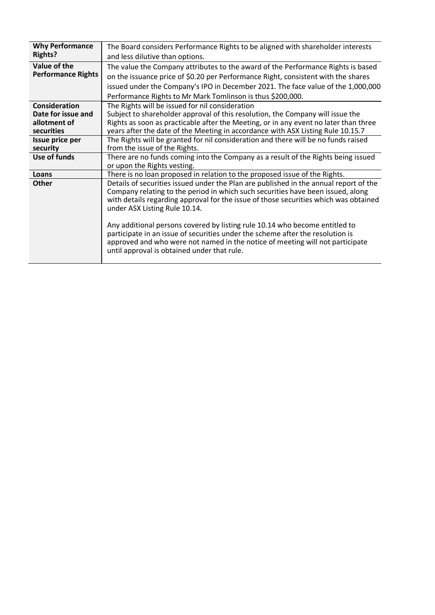| <b>Why Performance</b><br><b>Rights?</b> | The Board considers Performance Rights to be aligned with shareholder interests                                                                                                                                                                                                                   |
|------------------------------------------|---------------------------------------------------------------------------------------------------------------------------------------------------------------------------------------------------------------------------------------------------------------------------------------------------|
|                                          | and less dilutive than options.                                                                                                                                                                                                                                                                   |
| Value of the                             | The value the Company attributes to the award of the Performance Rights is based                                                                                                                                                                                                                  |
| <b>Performance Rights</b>                | on the issuance price of \$0.20 per Performance Right, consistent with the shares                                                                                                                                                                                                                 |
|                                          | issued under the Company's IPO in December 2021. The face value of the 1,000,000                                                                                                                                                                                                                  |
|                                          | Performance Rights to Mr Mark Tomlinson is thus \$200,000.                                                                                                                                                                                                                                        |
| Consideration                            | The Rights will be issued for nil consideration                                                                                                                                                                                                                                                   |
| Date for issue and                       | Subject to shareholder approval of this resolution, the Company will issue the                                                                                                                                                                                                                    |
| allotment of                             | Rights as soon as practicable after the Meeting, or in any event no later than three                                                                                                                                                                                                              |
| securities                               | years after the date of the Meeting in accordance with ASX Listing Rule 10.15.7                                                                                                                                                                                                                   |
| Issue price per                          | The Rights will be granted for nil consideration and there will be no funds raised                                                                                                                                                                                                                |
| security                                 | from the issue of the Rights.                                                                                                                                                                                                                                                                     |
| Use of funds                             | There are no funds coming into the Company as a result of the Rights being issued                                                                                                                                                                                                                 |
|                                          | or upon the Rights vesting.                                                                                                                                                                                                                                                                       |
| Loans                                    | There is no loan proposed in relation to the proposed issue of the Rights.                                                                                                                                                                                                                        |
| <b>Other</b>                             | Details of securities issued under the Plan are published in the annual report of the<br>Company relating to the period in which such securities have been issued, along<br>with details regarding approval for the issue of those securities which was obtained<br>under ASX Listing Rule 10.14. |
|                                          | Any additional persons covered by listing rule 10.14 who become entitled to<br>participate in an issue of securities under the scheme after the resolution is<br>approved and who were not named in the notice of meeting will not participate<br>until approval is obtained under that rule.     |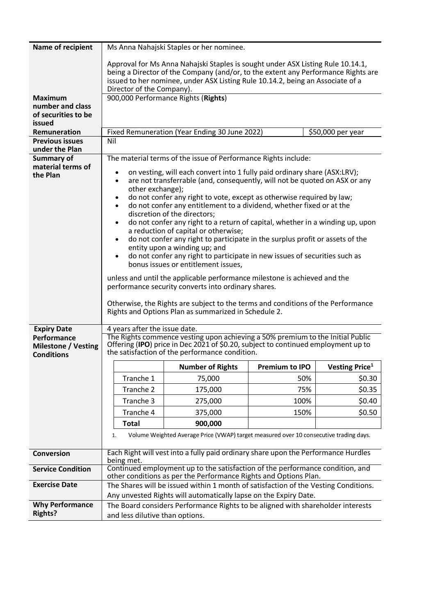| Name of recipient                               |                                 | Ms Anna Nahajski Staples or her nominee.                                                                                                          |                       |                            |
|-------------------------------------------------|---------------------------------|---------------------------------------------------------------------------------------------------------------------------------------------------|-----------------------|----------------------------|
|                                                 |                                 | Approval for Ms Anna Nahajski Staples is sought under ASX Listing Rule 10.14.1,                                                                   |                       |                            |
|                                                 |                                 | being a Director of the Company (and/or, to the extent any Performance Rights are                                                                 |                       |                            |
|                                                 |                                 | issued to her nominee, under ASX Listing Rule 10.14.2, being an Associate of a                                                                    |                       |                            |
|                                                 | Director of the Company).       |                                                                                                                                                   |                       |                            |
| <b>Maximum</b><br>number and class              |                                 | 900,000 Performance Rights (Rights)                                                                                                               |                       |                            |
| of securities to be                             |                                 |                                                                                                                                                   |                       |                            |
| issued                                          |                                 |                                                                                                                                                   |                       |                            |
| Remuneration                                    |                                 | Fixed Remuneration (Year Ending 30 June 2022)                                                                                                     |                       | \$50,000 per year          |
| <b>Previous issues</b>                          | Nil                             |                                                                                                                                                   |                       |                            |
| under the Plan<br><b>Summary of</b>             |                                 | The material terms of the issue of Performance Rights include:                                                                                    |                       |                            |
| material terms of                               |                                 |                                                                                                                                                   |                       |                            |
| the Plan                                        | $\bullet$                       | on vesting, will each convert into 1 fully paid ordinary share (ASX:LRV);                                                                         |                       |                            |
|                                                 | $\bullet$<br>other exchange);   | are not transferrable (and, consequently, will not be quoted on ASX or any                                                                        |                       |                            |
|                                                 |                                 | do not confer any right to vote, except as otherwise required by law;                                                                             |                       |                            |
|                                                 | $\bullet$                       | do not confer any entitlement to a dividend, whether fixed or at the                                                                              |                       |                            |
|                                                 |                                 | discretion of the directors;                                                                                                                      |                       |                            |
|                                                 | $\bullet$                       | do not confer any right to a return of capital, whether in a winding up, upon<br>a reduction of capital or otherwise;                             |                       |                            |
|                                                 | $\bullet$                       | do not confer any right to participate in the surplus profit or assets of the                                                                     |                       |                            |
|                                                 |                                 | entity upon a winding up; and                                                                                                                     |                       |                            |
|                                                 | $\bullet$                       | do not confer any right to participate in new issues of securities such as                                                                        |                       |                            |
|                                                 |                                 | bonus issues or entitlement issues,                                                                                                               |                       |                            |
|                                                 |                                 | unless and until the applicable performance milestone is achieved and the                                                                         |                       |                            |
|                                                 |                                 | performance security converts into ordinary shares.                                                                                               |                       |                            |
|                                                 |                                 |                                                                                                                                                   |                       |                            |
|                                                 |                                 |                                                                                                                                                   |                       |                            |
|                                                 |                                 | Otherwise, the Rights are subject to the terms and conditions of the Performance<br>Rights and Options Plan as summarized in Schedule 2.          |                       |                            |
|                                                 |                                 |                                                                                                                                                   |                       |                            |
| <b>Expiry Date</b>                              | 4 years after the issue date.   |                                                                                                                                                   |                       |                            |
| Performance                                     |                                 | The Rights commence vesting upon achieving a 50% premium to the Initial Public                                                                    |                       |                            |
| <b>Milestone / Vesting</b><br><b>Conditions</b> |                                 | Offering (IPO) price in Dec 2021 of \$0.20, subject to continued employment up to<br>the satisfaction of the performance condition.               |                       |                            |
|                                                 |                                 | <b>Number of Rights</b>                                                                                                                           | <b>Premium to IPO</b> | Vesting Price <sup>1</sup> |
|                                                 | Tranche 1                       | 75,000                                                                                                                                            | 50%                   | \$0.30                     |
|                                                 | Tranche 2                       | 175,000                                                                                                                                           | 75%                   | \$0.35                     |
|                                                 | Tranche 3                       | 275,000                                                                                                                                           | 100%                  | \$0.40                     |
|                                                 | Tranche 4                       | 375,000                                                                                                                                           | 150%                  | \$0.50                     |
|                                                 | <b>Total</b>                    | 900,000                                                                                                                                           |                       |                            |
|                                                 | 1.                              | Volume Weighted Average Price (VWAP) target measured over 10 consecutive trading days.                                                            |                       |                            |
|                                                 |                                 |                                                                                                                                                   |                       |                            |
| <b>Conversion</b>                               | being met.                      | Each Right will vest into a fully paid ordinary share upon the Performance Hurdles                                                                |                       |                            |
| <b>Service Condition</b>                        |                                 | Continued employment up to the satisfaction of the performance condition, and<br>other conditions as per the Performance Rights and Options Plan. |                       |                            |
| <b>Exercise Date</b>                            |                                 | The Shares will be issued within 1 month of satisfaction of the Vesting Conditions.                                                               |                       |                            |
|                                                 |                                 | Any unvested Rights will automatically lapse on the Expiry Date.                                                                                  |                       |                            |
| <b>Why Performance</b><br><b>Rights?</b>        | and less dilutive than options. | The Board considers Performance Rights to be aligned with shareholder interests                                                                   |                       |                            |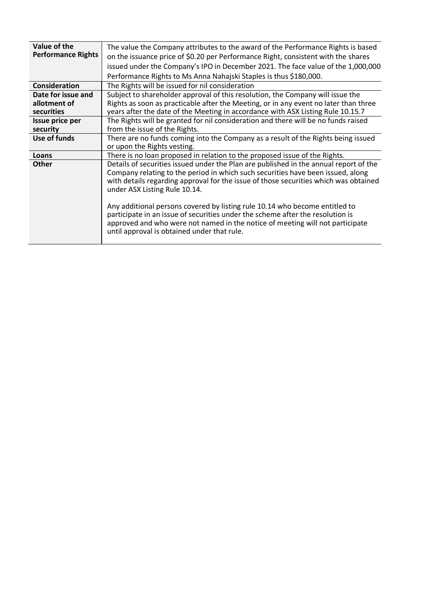| Value of the              | The value the Company attributes to the award of the Performance Rights is based                                                                                                                                                                                                                  |
|---------------------------|---------------------------------------------------------------------------------------------------------------------------------------------------------------------------------------------------------------------------------------------------------------------------------------------------|
| <b>Performance Rights</b> | on the issuance price of \$0.20 per Performance Right, consistent with the shares                                                                                                                                                                                                                 |
|                           | issued under the Company's IPO in December 2021. The face value of the 1,000,000                                                                                                                                                                                                                  |
|                           | Performance Rights to Ms Anna Nahajski Staples is thus \$180,000.                                                                                                                                                                                                                                 |
| <b>Consideration</b>      | The Rights will be issued for nil consideration                                                                                                                                                                                                                                                   |
| Date for issue and        | Subject to shareholder approval of this resolution, the Company will issue the                                                                                                                                                                                                                    |
| allotment of              | Rights as soon as practicable after the Meeting, or in any event no later than three                                                                                                                                                                                                              |
| securities                | years after the date of the Meeting in accordance with ASX Listing Rule 10.15.7                                                                                                                                                                                                                   |
| Issue price per           | The Rights will be granted for nil consideration and there will be no funds raised                                                                                                                                                                                                                |
| security                  | from the issue of the Rights.                                                                                                                                                                                                                                                                     |
| Use of funds              | There are no funds coming into the Company as a result of the Rights being issued                                                                                                                                                                                                                 |
|                           | or upon the Rights vesting.                                                                                                                                                                                                                                                                       |
| Loans                     | There is no loan proposed in relation to the proposed issue of the Rights.                                                                                                                                                                                                                        |
| <b>Other</b>              | Details of securities issued under the Plan are published in the annual report of the<br>Company relating to the period in which such securities have been issued, along<br>with details regarding approval for the issue of those securities which was obtained<br>under ASX Listing Rule 10.14. |
|                           | Any additional persons covered by listing rule 10.14 who become entitled to<br>participate in an issue of securities under the scheme after the resolution is<br>approved and who were not named in the notice of meeting will not participate<br>until approval is obtained under that rule.     |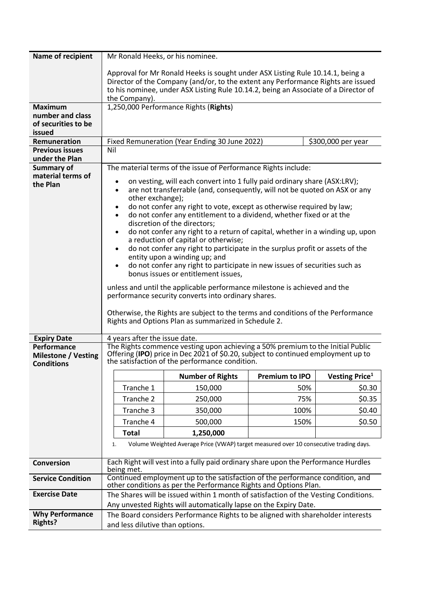| Name of recipient                               |                                 | Mr Ronald Heeks, or his nominee.                                                                                                                                    |                       |                            |
|-------------------------------------------------|---------------------------------|---------------------------------------------------------------------------------------------------------------------------------------------------------------------|-----------------------|----------------------------|
|                                                 |                                 | Approval for Mr Ronald Heeks is sought under ASX Listing Rule 10.14.1, being a                                                                                      |                       |                            |
|                                                 |                                 | Director of the Company (and/or, to the extent any Performance Rights are issued                                                                                    |                       |                            |
|                                                 | the Company).                   | to his nominee, under ASX Listing Rule 10.14.2, being an Associate of a Director of                                                                                 |                       |                            |
| <b>Maximum</b>                                  |                                 | 1,250,000 Performance Rights (Rights)                                                                                                                               |                       |                            |
| number and class                                |                                 |                                                                                                                                                                     |                       |                            |
| of securities to be                             |                                 |                                                                                                                                                                     |                       |                            |
| issued<br>Remuneration                          |                                 | Fixed Remuneration (Year Ending 30 June 2022)                                                                                                                       |                       |                            |
| <b>Previous issues</b>                          | Nil                             |                                                                                                                                                                     |                       | \$300,000 per year         |
| under the Plan                                  |                                 |                                                                                                                                                                     |                       |                            |
| <b>Summary of</b>                               |                                 | The material terms of the issue of Performance Rights include:                                                                                                      |                       |                            |
| material terms of                               | $\bullet$                       | on vesting, will each convert into 1 fully paid ordinary share (ASX:LRV);                                                                                           |                       |                            |
| the Plan                                        | $\bullet$                       | are not transferrable (and, consequently, will not be quoted on ASX or any                                                                                          |                       |                            |
|                                                 | other exchange);                |                                                                                                                                                                     |                       |                            |
|                                                 | ٠<br>$\bullet$                  | do not confer any right to vote, except as otherwise required by law;<br>do not confer any entitlement to a dividend, whether fixed or at the                       |                       |                            |
|                                                 |                                 | discretion of the directors;                                                                                                                                        |                       |                            |
|                                                 | $\bullet$                       | do not confer any right to a return of capital, whether in a winding up, upon                                                                                       |                       |                            |
|                                                 |                                 | a reduction of capital or otherwise;                                                                                                                                |                       |                            |
|                                                 | $\bullet$                       | do not confer any right to participate in the surplus profit or assets of the<br>entity upon a winding up; and                                                      |                       |                            |
|                                                 | $\bullet$                       | do not confer any right to participate in new issues of securities such as                                                                                          |                       |                            |
|                                                 |                                 | bonus issues or entitlement issues,                                                                                                                                 |                       |                            |
|                                                 |                                 | unless and until the applicable performance milestone is achieved and the                                                                                           |                       |                            |
|                                                 |                                 | performance security converts into ordinary shares.                                                                                                                 |                       |                            |
|                                                 |                                 |                                                                                                                                                                     |                       |                            |
|                                                 |                                 |                                                                                                                                                                     |                       |                            |
|                                                 |                                 | Otherwise, the Rights are subject to the terms and conditions of the Performance<br>Rights and Options Plan as summarized in Schedule 2.                            |                       |                            |
|                                                 |                                 |                                                                                                                                                                     |                       |                            |
| <b>Expiry Date</b>                              | 4 years after the issue date.   |                                                                                                                                                                     |                       |                            |
| Performance                                     |                                 | The Rights commence vesting upon achieving a 50% premium to the Initial Public<br>Offering (IPO) price in Dec 2021 of \$0.20, subject to continued employment up to |                       |                            |
| <b>Milestone / Vesting</b><br><b>Conditions</b> |                                 | the satisfaction of the performance condition.                                                                                                                      |                       |                            |
|                                                 |                                 | <b>Number of Rights</b>                                                                                                                                             | <b>Premium to IPO</b> | Vesting Price <sup>1</sup> |
|                                                 | Tranche 1                       | 150,000                                                                                                                                                             | 50%                   | \$0.30                     |
|                                                 | Tranche 2                       | 250,000                                                                                                                                                             | 75%                   | \$0.35                     |
|                                                 | Tranche 3                       | 350,000                                                                                                                                                             | 100%                  | \$0.40                     |
|                                                 | Tranche 4                       | 500,000                                                                                                                                                             | 150%                  | \$0.50                     |
|                                                 | <b>Total</b>                    | 1,250,000                                                                                                                                                           |                       |                            |
|                                                 | 1.                              | Volume Weighted Average Price (VWAP) target measured over 10 consecutive trading days.                                                                              |                       |                            |
|                                                 |                                 |                                                                                                                                                                     |                       |                            |
| <b>Conversion</b>                               | being met.                      | Each Right will vest into a fully paid ordinary share upon the Performance Hurdles                                                                                  |                       |                            |
| <b>Service Condition</b>                        |                                 | Continued employment up to the satisfaction of the performance condition, and<br>other conditions as per the Performance Rights and Options Plan.                   |                       |                            |
| <b>Exercise Date</b>                            |                                 | The Shares will be issued within 1 month of satisfaction of the Vesting Conditions.                                                                                 |                       |                            |
|                                                 |                                 | Any unvested Rights will automatically lapse on the Expiry Date.                                                                                                    |                       |                            |
| <b>Why Performance</b><br><b>Rights?</b>        | and less dilutive than options. | The Board considers Performance Rights to be aligned with shareholder interests                                                                                     |                       |                            |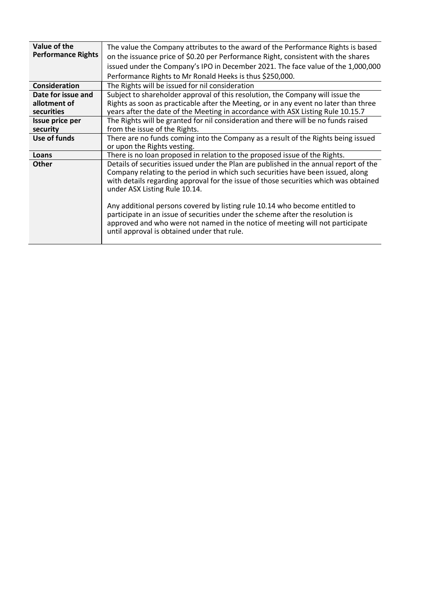| Value of the              | The value the Company attributes to the award of the Performance Rights is based                                                                                                                                                                                                                  |
|---------------------------|---------------------------------------------------------------------------------------------------------------------------------------------------------------------------------------------------------------------------------------------------------------------------------------------------|
| <b>Performance Rights</b> | on the issuance price of \$0.20 per Performance Right, consistent with the shares                                                                                                                                                                                                                 |
|                           | issued under the Company's IPO in December 2021. The face value of the 1,000,000                                                                                                                                                                                                                  |
|                           | Performance Rights to Mr Ronald Heeks is thus \$250,000.                                                                                                                                                                                                                                          |
| <b>Consideration</b>      | The Rights will be issued for nil consideration                                                                                                                                                                                                                                                   |
| Date for issue and        | Subject to shareholder approval of this resolution, the Company will issue the                                                                                                                                                                                                                    |
| allotment of              | Rights as soon as practicable after the Meeting, or in any event no later than three                                                                                                                                                                                                              |
| securities                | years after the date of the Meeting in accordance with ASX Listing Rule 10.15.7                                                                                                                                                                                                                   |
| Issue price per           | The Rights will be granted for nil consideration and there will be no funds raised                                                                                                                                                                                                                |
| security                  | from the issue of the Rights.                                                                                                                                                                                                                                                                     |
| Use of funds              | There are no funds coming into the Company as a result of the Rights being issued                                                                                                                                                                                                                 |
|                           | or upon the Rights vesting.                                                                                                                                                                                                                                                                       |
| Loans                     | There is no loan proposed in relation to the proposed issue of the Rights.                                                                                                                                                                                                                        |
| <b>Other</b>              | Details of securities issued under the Plan are published in the annual report of the<br>Company relating to the period in which such securities have been issued, along<br>with details regarding approval for the issue of those securities which was obtained<br>under ASX Listing Rule 10.14. |
|                           | Any additional persons covered by listing rule 10.14 who become entitled to<br>participate in an issue of securities under the scheme after the resolution is<br>approved and who were not named in the notice of meeting will not participate<br>until approval is obtained under that rule.     |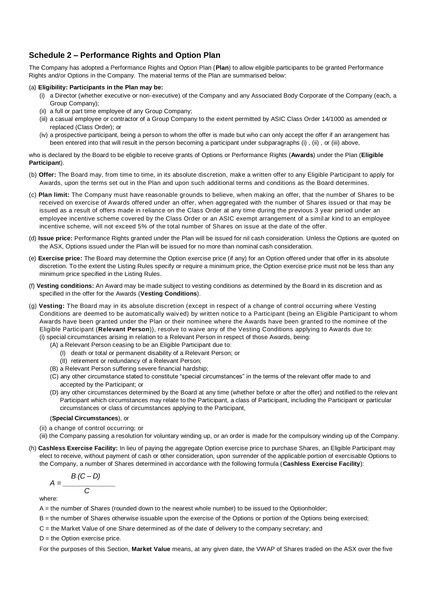#### **Schedule 2 – Performance Rights and Option Plan**

The Company has adopted a Performance Rights and Option Plan (**Plan**) to allow eligible participants to be granted Performance Rights and/or Options in the Company. The material terms of the Plan are summarised below:

#### (a) **Eligibility: Participants in the Plan may be:**

- (i) a Director (whether executive or non-executive) of the Company and any Associated Body Corporate of the Company (each, a Group Company);
- (ii) a full or part time employee of any Group Company;
- (iii) a casual employee or contractor of a Group Company to the extent permitted by ASIC Class Order 14/1000 as amended or replaced (Class Order); or
- (iv) a prospective participant, being a person to whom the offer is made but who can only accept the offer if an arrangement has been entered into that will result in the person becoming a participant under subparagraphs (i), (ii), or (iii) above,

who is declared by the Board to be eligible to receive grants of Options or Performance Rights (**Awards**) under the Plan (**Eligible Participan**t).

- (b) **Offer:** The Board may, from time to time, in its absolute discretion, make a written offer to any Eligible Participant to apply for Awards, upon the terms set out in the Plan and upon such additional terms and conditions as the Board determines.
- (c) **Plan limit:** The Company must have reasonable grounds to believe, when making an offer, that the number of Shares to be received on exercise of Awards offered under an offer, when aggregated with the number of Shares issued or that may be issued as a result of offers made in reliance on the Class Order at any time during the previous 3 year period under an employee incentive scheme covered by the Class Order or an ASIC exempt arrangement of a simil ar kind to an employee incentive scheme, will not exceed 5% of the total number of Shares on issue at the date of the offer.
- (d) **Issue price:** Performance Rights granted under the Plan will be issued for nil cash consideration. Unless the Options are quoted on the ASX, Options issued under the Plan will be issued for no more than nominal cash consideration.
- (e) **Exercise price:** The Board may determine the Option exercise price (if any) for an Option offered under that offer in its absolute discretion. To the extent the Listing Rules specify or require a minimum price, the Option exercise price must not be less than any minimum price specified in the Listing Rules.
- (f) **Vesting conditions:** An Award may be made subject to vesting conditions as determined by the Board in its discretion and as specified in the offer for the Awards (**Vesting Conditions**).
- (g) **Vesting:** The Board may in its absolute discretion (except in respect of a change of control occurring where Vesting Conditions are deemed to be automatically waived) by written notice to a Participant (being an Eligible Participant to whom Awards have been granted under the Plan or their nominee where the Awards have been granted to the nominee of the Eligible Participant (**Relevant Person**)), resolve to waive any of the Vesting Conditions applying to Awards due to: (i) special circumstances arising in relation to a Relevant Person in respect of those Awards, being:
	- - (A) a Relevant Person ceasing to be an Eligible Participant due to:
			- (I) death or total or permanent disability of a Relevant Person; or
			- (II) retirement or redundancy of a Relevant Person;
		- (B) a Relevant Person suffering severe financial hardship;
		- (C) any other circumstance stated to constitute "special circumstances" in the terms of the relevant offer made to and accepted by the Participant; or
		- (D) any other circumstances determined by the Board at any time (whether before or after the offer) and notified to the relevant Participant which circumstances may relate to the Participant, a class of Participant, including the Participant or particular circumstances or class of circumstances applying to the Participant,

#### (**Special Circumstances**), or

- (ii) a change of control occurring; or
- (iii) the Company passing a resolution for voluntary winding up, or an order is made for the compulsory winding up of the Company.
- (h) **Cashless Exercise Facility:** In lieu of paying the aggregate Option exercise price to purchase Shares, an Eligible Participant may elect to receive, without payment of cash or other consideration, upon surrender of the applicable portion of exercisable Options to the Company, a number of Shares determined in accordance with the following formula (**Cashless Exercise Facility**):

$$
A = \frac{B(C - D)}{C}
$$

where:

- A = the number of Shares (rounded down to the nearest whole number) to be issued to the Optionholder;
- B = the number of Shares otherwise issuable upon the exercise of the Options or portion of the Options being exercised;
- C = the Market Value of one Share determined as of the date of delivery to the company secretary; and

 $D =$  the Option exercise price.

For the purposes of this Section, **Market Value** means, at any given date, the VWAP of Shares traded on the ASX over the five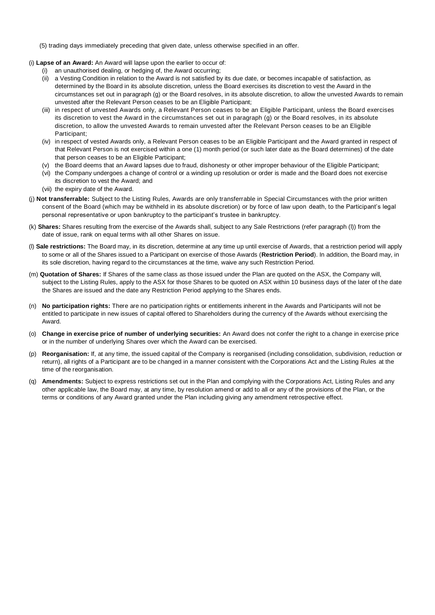- (5) trading days immediately preceding that given date, unless otherwise specified in an offer.
- (i) **Lapse of an Award:** An Award will lapse upon the earlier to occur of:
	- (i) an unauthorised dealing, or hedging of, the Award occurring;
		- (ii) a Vesting Condition in relation to the Award is not satisfied by its due date, or becomes incapable of satisfaction, as determined by the Board in its absolute discretion, unless the Board exercises its discretion to vest the Award in the circumstances set out in paragraph (g) or the Board resolves, in its absolute discretion, to allow the unvested Awards to remain unvested after the Relevant Person ceases to be an Eligible Participant;
		- (iii) in respect of unvested Awards only, a Relevant Person ceases to be an Eligible Participant, unless the Board exercises its discretion to vest the Award in the circumstances set out in paragraph (g) or the Board resolves, in its absolute discretion, to allow the unvested Awards to remain unvested after the Relevant Person ceases to be an Eligible Participant;
		- (iv) in respect of vested Awards only, a Relevant Person ceases to be an Eligible Participant and the Award granted in respect of that Relevant Person is not exercised within a one (1) month period (or such later date as the Board determines) of the date that person ceases to be an Eligible Participant;
		- (v) the Board deems that an Award lapses due to fraud, dishonesty or other improper behaviour of the Eligible Participant;
	- (vi) the Company undergoes a change of control or a winding up resolution or order is made and the Board does not exercise its discretion to vest the Award; and
	- (vii) the expiry date of the Award.
- (j) **Not transferrable:** Subject to the Listing Rules, Awards are only transferrable in Special Circumstances with the prior written consent of the Board (which may be withheld in its absolute discretion) or by force of law upon death, to the Participant's legal personal representative or upon bankruptcy to the participant's trustee in bankruptcy.
- (k) **Shares:** Shares resulting from the exercise of the Awards shall, subject to any Sale Restrictions (refer paragraph (l)) from the date of issue, rank on equal terms with all other Shares on issue.
- (l) **Sale restrictions:** The Board may, in its discretion, determine at any time up until exercise of Awards, that a restriction period will apply to some or all of the Shares issued to a Participant on exercise of those Awards (**Restriction Period**). In addition, the Board may, in its sole discretion, having regard to the circumstances at the time, waive any such Restriction Period.
- (m) **Quotation of Shares:** If Shares of the same class as those issued under the Plan are quoted on the ASX, the Company will, subject to the Listing Rules, apply to the ASX for those Shares to be quoted on ASX within 10 business days of the later of the date the Shares are issued and the date any Restriction Period applying to the Shares ends.
- (n) **No participation rights:** There are no participation rights or entitlements inherent in the Awards and Participants will not be entitled to participate in new issues of capital offered to Shareholders during the currency of the Awards without exercising the Award.
- (o) **Change in exercise price of number of underlying securities:** An Award does not confer the right to a change in exercise price or in the number of underlying Shares over which the Award can be exercised.
- (p) **Reorganisation:** If, at any time, the issued capital of the Company is reorganised (including consolidation, subdivision, reduction or return), all rights of a Participant are to be changed in a manner consistent with the Corporations Act and the Listing Rules at the time of the reorganisation.
- (q) **Amendments:** Subject to express restrictions set out in the Plan and complying with the Corporations Act, Listing Rules and any other applicable law, the Board may, at any time, by resolution amend or add to all or any of the provisions of the Plan, or the terms or conditions of any Award granted under the Plan including giving any amendment retrospective effect.